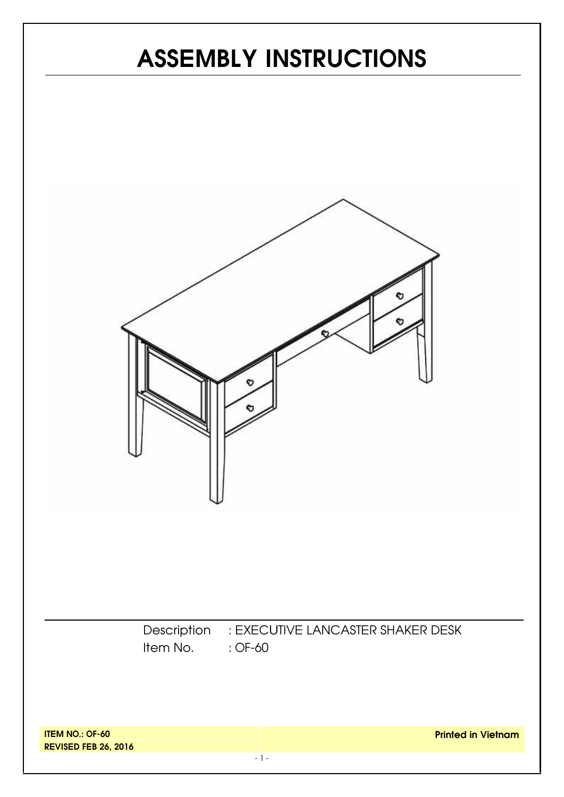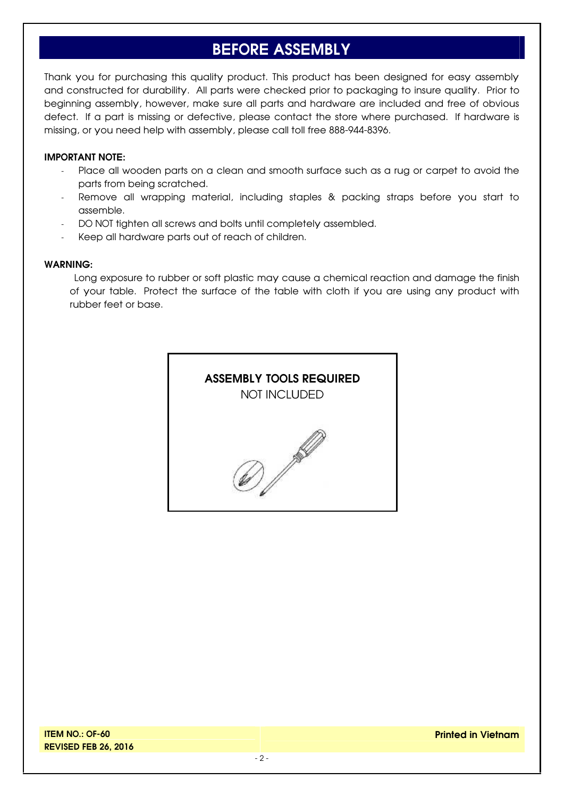### **BEFORE ASSEMBLY**

Thank you for purchasing this quality product. This product has been designed for easy assembly and constructed for durability. All parts were checked prior to packaging to insure quality. Prior to beginning assembly, however, make sure all parts and hardware are included and free of obvious defect. If a part is missing or defective, please contact the store where purchased. If hardware is missing, or you need help with assembly, please call toll free 888-944-8396.

#### **IMPORTANT NOTE:**

- Place all wooden parts on a clean and smooth surface such as a rug or carpet to avoid the parts from being scratched.
- Remove all wrapping material, including staples & packing straps before you start to assemble.
- DO NOT tighten all screws and bolts until completely assembled.
- Keep all hardware parts out of reach of children.

#### **WARNING:**

Long exposure to rubber or soft plastic may cause a chemical reaction and damage the finish of your table. Protect the surface of the table with cloth if you are using any product with rubber feet or base.

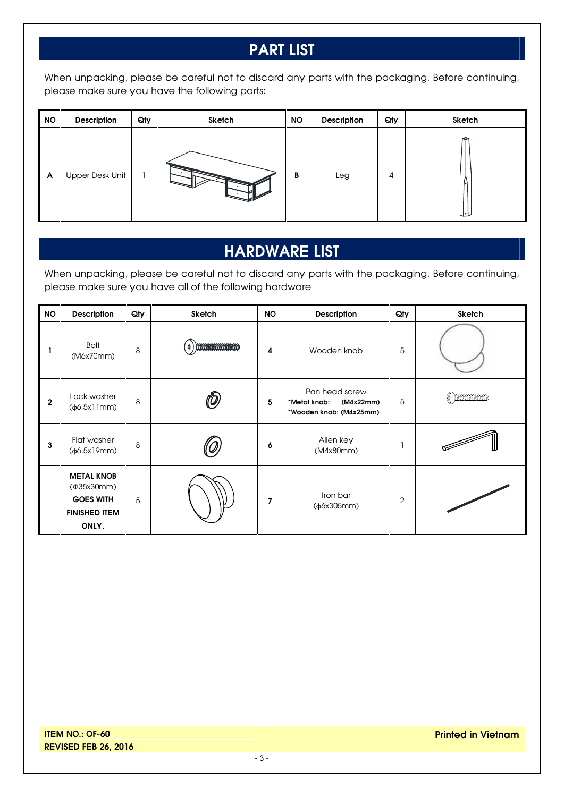# **PART LIST**

When unpacking, please be careful not to discard any parts with the packaging. Before continuing, please make sure you have the following parts:

| <b>NO</b> | Description            | Qty | Sketch | <b>NO</b> | Description | Qty | Sketch |
|-----------|------------------------|-----|--------|-----------|-------------|-----|--------|
| A         | <b>Upper Desk Unit</b> |     |        | B         | Leg         | 4   | u∙∟    |

# **HARDWARE LIST**

When unpacking, please be careful not to discard any parts with the packaging. Before continuing, please make sure you have all of the following hardware

| <b>NO</b>   | Description                                                                          | Qty | Sketch                        | <b>NO</b> | Description                                                            | Qty | Sketch |
|-------------|--------------------------------------------------------------------------------------|-----|-------------------------------|-----------|------------------------------------------------------------------------|-----|--------|
|             | <b>Bolt</b><br>(M6x70mm)                                                             | 8   | <b>Incontratives</b><br>์ O 1 | 4         | Wooden knob                                                            | 5   |        |
| $\mathbf 2$ | Lock washer<br>$(\phi 6.5x11mm)$                                                     | 8   |                               | 5         | Pan head screw<br>*Metal knob:<br>(M4x22mm)<br>*Wooden knob: (M4x25mm) | 5   | ( mmmm |
| 3           | Flat washer<br>(φ6.5x19mm)                                                           | 8   |                               | 6         | Allen key<br>(M4x80mm)                                                 |     |        |
|             | <b>METAL KNOB</b><br>(Φ35x30mm)<br><b>GOES WITH</b><br><b>FINISHED ITEM</b><br>ONLY. | 5   |                               | 7         | Iron bar<br>$(\phi$ 6x305mm)                                           | 2   |        |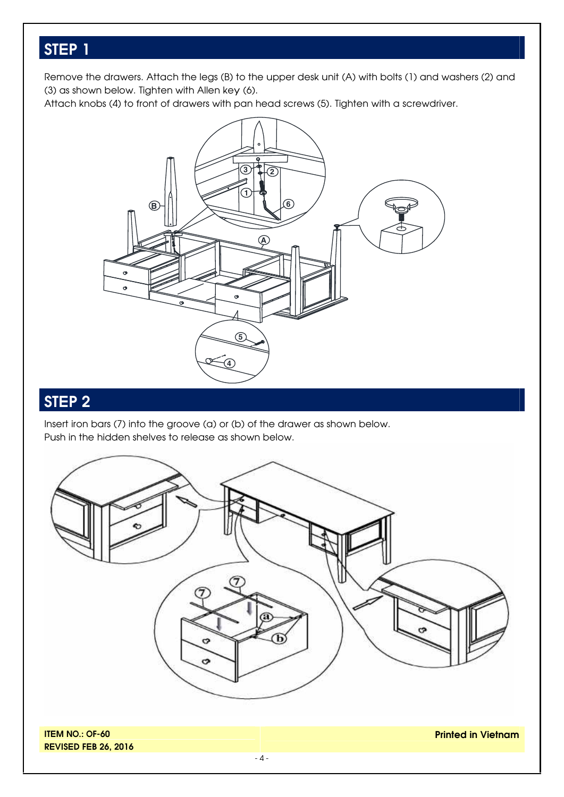### **STEP 1**

Remove the drawers. Attach the legs (B) to the upper desk unit (A) with bolts (1) and washers (2) and (3) as shown below. Tighten with Allen key (6).

Attach knobs (4) to front of drawers with pan head screws (5). Tighten with a screwdriver.



#### **STEP 2**

Insert iron bars (7) into the groove (a) or (b) of the drawer as shown below. Push in the hidden shelves to release as shown below.



**REVISED FEB 26, 2016**